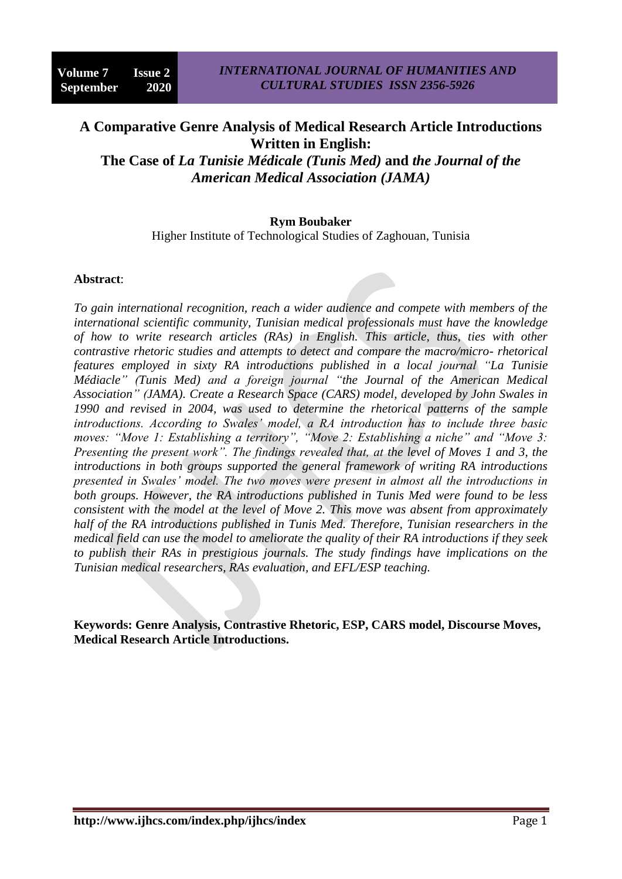# **A Comparative Genre Analysis of Medical Research Article Introductions Written in English: The Case of** *La Tunisie Médicale (Tunis Med)* **and** *the Journal of the*

*American Medical Association (JAMA)*

#### **Rym Boubaker**

Higher Institute of Technological Studies of Zaghouan, Tunisia

#### **Abstract**:

*To gain international recognition, reach a wider audience and compete with members of the international scientific community, Tunisian medical professionals must have the knowledge of how to write research articles (RAs) in English. This article, thus, ties with other contrastive rhetoric studies and attempts to detect and compare the macro/micro- rhetorical features employed in sixty RA introductions published in a local journal "La Tunisie Médiacle" (Tunis Med) and a foreign journal "the Journal of the American Medical Association" (JAMA). Create a Research Space (CARS) model, developed by John Swales in 1990 and revised in 2004, was used to determine the rhetorical patterns of the sample introductions. According to Swales' model, a RA introduction has to include three basic moves: "Move 1: Establishing a territory", "Move 2: Establishing a niche" and "Move 3: Presenting the present work". The findings revealed that, at the level of Moves 1 and 3, the introductions in both groups supported the general framework of writing RA introductions presented in Swales' model. The two moves were present in almost all the introductions in both groups. However, the RA introductions published in Tunis Med were found to be less consistent with the model at the level of Move 2. This move was absent from approximately half of the RA introductions published in Tunis Med. Therefore, Tunisian researchers in the medical field can use the model to ameliorate the quality of their RA introductions if they seek to publish their RAs in prestigious journals. The study findings have implications on the Tunisian medical researchers, RAs evaluation, and EFL/ESP teaching.*

**Keywords: Genre Analysis, Contrastive Rhetoric, ESP, CARS model, Discourse Moves, Medical Research Article Introductions.**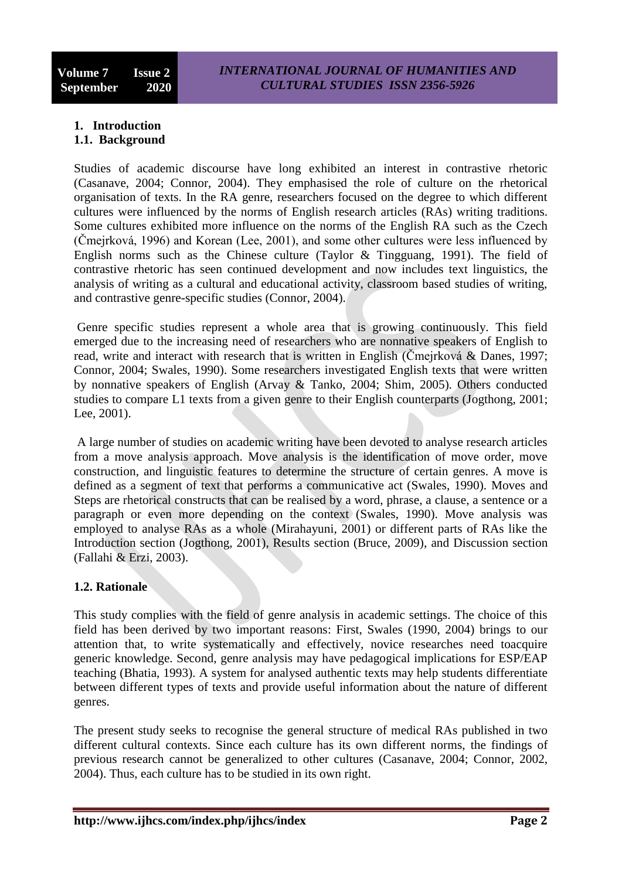#### **1. Introduction 1.1. Background**

Studies of academic discourse have long exhibited an interest in contrastive rhetoric (Casanave, 2004; Connor, 2004). They emphasised the role of culture on the rhetorical organisation of texts. In the RA genre, researchers focused on the degree to which different cultures were influenced by the norms of English research articles (RAs) writing traditions. Some cultures exhibited more influence on the norms of the English RA such as the Czech (Čmejrková, 1996) and Korean (Lee, 2001), and some other cultures were less influenced by English norms such as the Chinese culture (Taylor & Tingguang, 1991). The field of contrastive rhetoric has seen continued development and now includes text linguistics, the analysis of writing as a cultural and educational activity, classroom based studies of writing, and contrastive genre-specific studies (Connor, 2004).

Genre specific studies represent a whole area that is growing continuously. This field emerged due to the increasing need of researchers who are nonnative speakers of English to read, write and interact with research that is written in English (Čmejrková & Danes, 1997; Connor, 2004; Swales, 1990). Some researchers investigated English texts that were written by nonnative speakers of English (Arvay & Tanko, 2004; Shim, 2005). Others conducted studies to compare L1 texts from a given genre to their English counterparts (Jogthong, 2001; Lee, 2001).

A large number of studies on academic writing have been devoted to analyse research articles from a move analysis approach. Move analysis is the identification of move order, move construction, and linguistic features to determine the structure of certain genres. A move is defined as a segment of text that performs a communicative act (Swales, 1990). Moves and Steps are rhetorical constructs that can be realised by a word, phrase, a clause, a sentence or a paragraph or even more depending on the context (Swales, 1990). Move analysis was employed to analyse RAs as a whole (Mirahayuni, 2001) or different parts of RAs like the Introduction section (Jogthong, 2001), Results section (Bruce, 2009), and Discussion section (Fallahi & Erzi, 2003).

# **1.2. Rationale**

This study complies with the field of genre analysis in academic settings. The choice of this field has been derived by two important reasons: First, Swales (1990, 2004) brings to our attention that, to write systematically and effectively, novice researches need toacquire generic knowledge. Second, genre analysis may have pedagogical implications for ESP/EAP teaching (Bhatia, 1993). A system for analysed authentic texts may help students differentiate between different types of texts and provide useful information about the nature of different genres.

The present study seeks to recognise the general structure of medical RAs published in two different cultural contexts. Since each culture has its own different norms, the findings of previous research cannot be generalized to other cultures (Casanave, 2004; Connor, 2002, 2004). Thus, each culture has to be studied in its own right.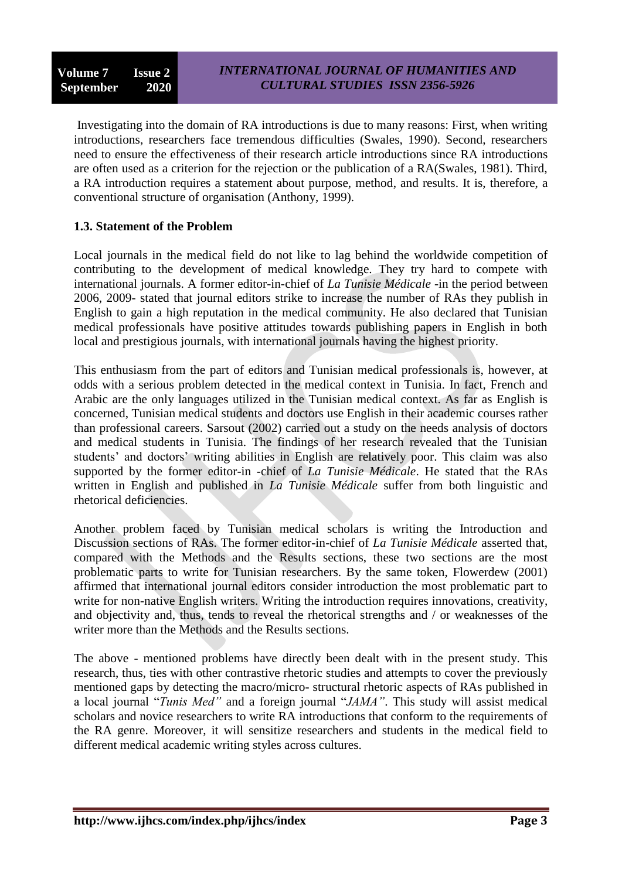Investigating into the domain of RA introductions is due to many reasons: First, when writing introductions, researchers face tremendous difficulties (Swales, 1990). Second, researchers need to ensure the effectiveness of their research article introductions since RA introductions are often used as a criterion for the rejection or the publication of a RA(Swales, 1981). Third, a RA introduction requires a statement about purpose, method, and results. It is, therefore, a conventional structure of organisation (Anthony, 1999).

## **1.3. Statement of the Problem**

Local journals in the medical field do not like to lag behind the worldwide competition of contributing to the development of medical knowledge. They try hard to compete with international journals. A former editor-in-chief of *La Tunisie Médicale* -in the period between 2006, 2009- stated that journal editors strike to increase the number of RAs they publish in English to gain a high reputation in the medical community. He also declared that Tunisian medical professionals have positive attitudes towards publishing papers in English in both local and prestigious journals, with international journals having the highest priority.

This enthusiasm from the part of editors and Tunisian medical professionals is, however, at odds with a serious problem detected in the medical context in Tunisia. In fact, French and Arabic are the only languages utilized in the Tunisian medical context. As far as English is concerned, Tunisian medical students and doctors use English in their academic courses rather than professional careers. Sarsout (2002) carried out a study on the needs analysis of doctors and medical students in Tunisia. The findings of her research revealed that the Tunisian students' and doctors' writing abilities in English are relatively poor. This claim was also supported by the former editor-in -chief of *La Tunisie Médicale*. He stated that the RAs written in English and published in *La Tunisie Médicale* suffer from both linguistic and rhetorical deficiencies.

Another problem faced by Tunisian medical scholars is writing the Introduction and Discussion sections of RAs. The former editor-in-chief of *La Tunisie Médicale* asserted that, compared with the Methods and the Results sections, these two sections are the most problematic parts to write for Tunisian researchers. By the same token, Flowerdew (2001) affirmed that international journal editors consider introduction the most problematic part to write for non-native English writers. Writing the introduction requires innovations, creativity, and objectivity and, thus, tends to reveal the rhetorical strengths and / or weaknesses of the writer more than the Methods and the Results sections.

The above - mentioned problems have directly been dealt with in the present study. This research, thus, ties with other contrastive rhetoric studies and attempts to cover the previously mentioned gaps by detecting the macro/micro- structural rhetoric aspects of RAs published in a local journal "*Tunis Med*" and a foreign journal "*JAMA*". This study will assist medical scholars and novice researchers to write RA introductions that conform to the requirements of the RA genre. Moreover, it will sensitize researchers and students in the medical field to different medical academic writing styles across cultures.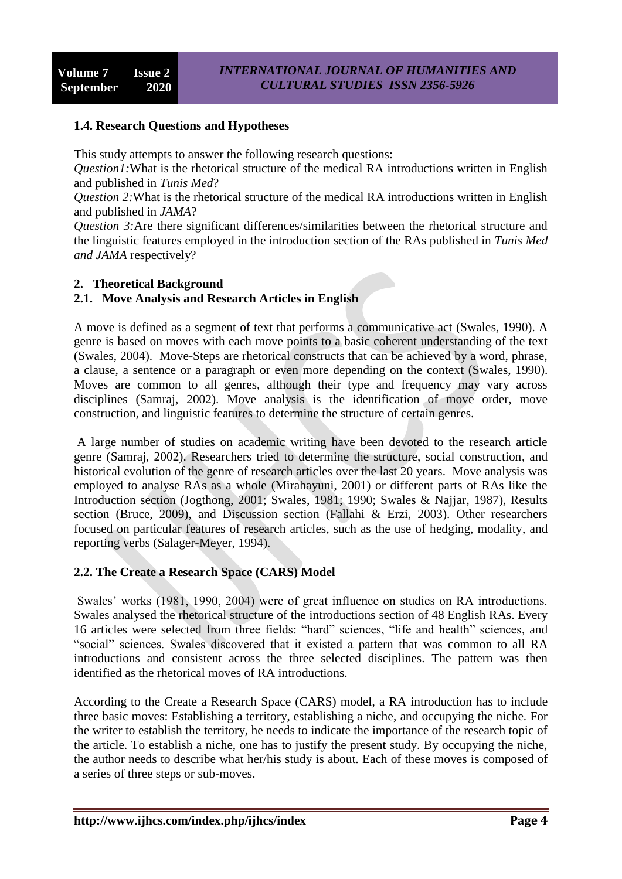### **1.4. Research Questions and Hypotheses**

This study attempts to answer the following research questions:

*Question1:*What is the rhetorical structure of the medical RA introductions written in English and published in *Tunis Med*?

*Question 2:*What is the rhetorical structure of the medical RA introductions written in English and published in *JAMA*?

*Question 3:*Are there significant differences/similarities between the rhetorical structure and the linguistic features employed in the introduction section of the RAs published in *Tunis Med and JAMA* respectively?

#### **2. Theoretical Background**

## **2.1. Move Analysis and Research Articles in English**

A move is defined as a segment of text that performs a communicative act (Swales, 1990). A genre is based on moves with each move points to a basic coherent understanding of the text (Swales, 2004). Move-Steps are rhetorical constructs that can be achieved by a word, phrase, a clause, a sentence or a paragraph or even more depending on the context (Swales, 1990). Moves are common to all genres, although their type and frequency may vary across disciplines (Samraj, 2002). Move analysis is the identification of move order, move construction, and linguistic features to determine the structure of certain genres.

A large number of studies on academic writing have been devoted to the research article genre (Samraj, 2002). Researchers tried to determine the structure, social construction, and historical evolution of the genre of research articles over the last 20 years. Move analysis was employed to analyse RAs as a whole (Mirahayuni, 2001) or different parts of RAs like the Introduction section (Jogthong, 2001; Swales, 1981; 1990; Swales & Najjar, 1987), Results section (Bruce, 2009), and Discussion section (Fallahi & Erzi, 2003). Other researchers focused on particular features of research articles, such as the use of hedging, modality, and reporting verbs (Salager-Meyer, 1994).

#### **2.2. The Create a Research Space (CARS) Model**

Swales' works (1981, 1990, 2004) were of great influence on studies on RA introductions. Swales analysed the rhetorical structure of the introductions section of 48 English RAs. Every 16 articles were selected from three fields: "hard" sciences, "life and health" sciences, and "social" sciences. Swales discovered that it existed a pattern that was common to all RA introductions and consistent across the three selected disciplines. The pattern was then identified as the rhetorical moves of RA introductions.

According to the Create a Research Space (CARS) model, a RA introduction has to include three basic moves: Establishing a territory, establishing a niche, and occupying the niche. For the writer to establish the territory, he needs to indicate the importance of the research topic of the article. To establish a niche, one has to justify the present study. By occupying the niche, the author needs to describe what her/his study is about. Each of these moves is composed of a series of three steps or sub-moves.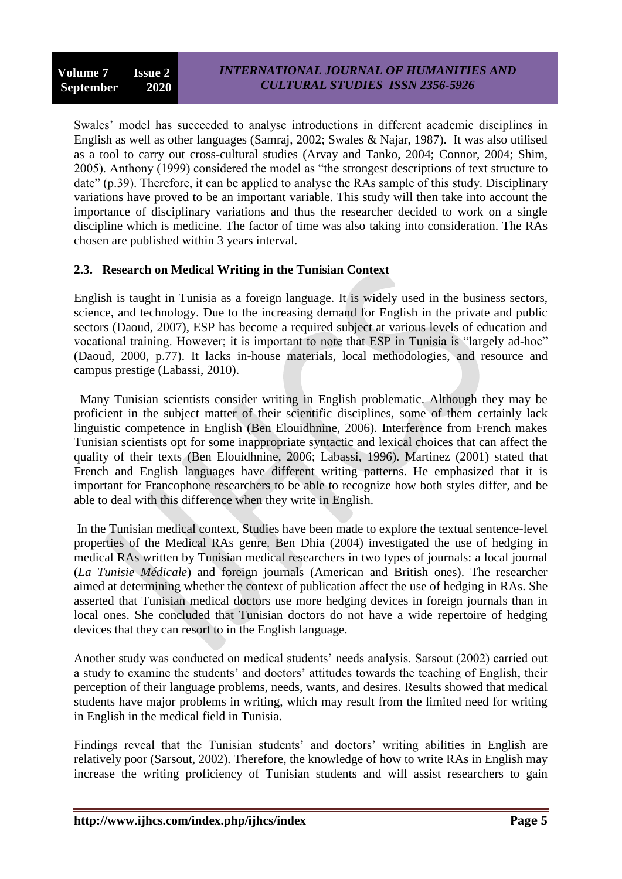Swales' model has succeeded to analyse introductions in different academic disciplines in English as well as other languages (Samraj, 2002; Swales & Najar, 1987). It was also utilised as a tool to carry out cross-cultural studies (Arvay and Tanko, 2004; Connor, 2004; Shim, 2005). Anthony (1999) considered the model as "the strongest descriptions of text structure to date" (p.39). Therefore, it can be applied to analyse the RAs sample of this study. Disciplinary variations have proved to be an important variable. This study will then take into account the importance of disciplinary variations and thus the researcher decided to work on a single discipline which is medicine. The factor of time was also taking into consideration. The RAs chosen are published within 3 years interval.

### **2.3. Research on Medical Writing in the Tunisian Context**

English is taught in Tunisia as a foreign language. It is widely used in the business sectors, science, and technology. Due to the increasing demand for English in the private and public sectors (Daoud, 2007), ESP has become a required subject at various levels of education and vocational training. However; it is important to note that ESP in Tunisia is "largely ad-hoc" (Daoud, 2000, p.77). It lacks in-house materials, local methodologies, and resource and campus prestige (Labassi, 2010).

Many Tunisian scientists consider writing in English problematic. Although they may be proficient in the subject matter of their scientific disciplines, some of them certainly lack linguistic competence in English (Ben Elouidhnine, 2006). Interference from French makes Tunisian scientists opt for some inappropriate syntactic and lexical choices that can affect the quality of their texts (Ben Elouidhnine, 2006; Labassi, 1996). Martinez (2001) stated that French and English languages have different writing patterns. He emphasized that it is important for Francophone researchers to be able to recognize how both styles differ, and be able to deal with this difference when they write in English.

In the Tunisian medical context, Studies have been made to explore the textual sentence-level properties of the Medical RAs genre. Ben Dhia (2004) investigated the use of hedging in medical RAs written by Tunisian medical researchers in two types of journals: a local journal (*La Tunisie Médicale*) and foreign journals (American and British ones). The researcher aimed at determining whether the context of publication affect the use of hedging in RAs. She asserted that Tunisian medical doctors use more hedging devices in foreign journals than in local ones. She concluded that Tunisian doctors do not have a wide repertoire of hedging devices that they can resort to in the English language.

Another study was conducted on medical students' needs analysis. Sarsout (2002) carried out a study to examine the students' and doctors' attitudes towards the teaching of English, their perception of their language problems, needs, wants, and desires. Results showed that medical students have major problems in writing, which may result from the limited need for writing in English in the medical field in Tunisia.

Findings reveal that the Tunisian students' and doctors' writing abilities in English are relatively poor (Sarsout, 2002). Therefore, the knowledge of how to write RAs in English may increase the writing proficiency of Tunisian students and will assist researchers to gain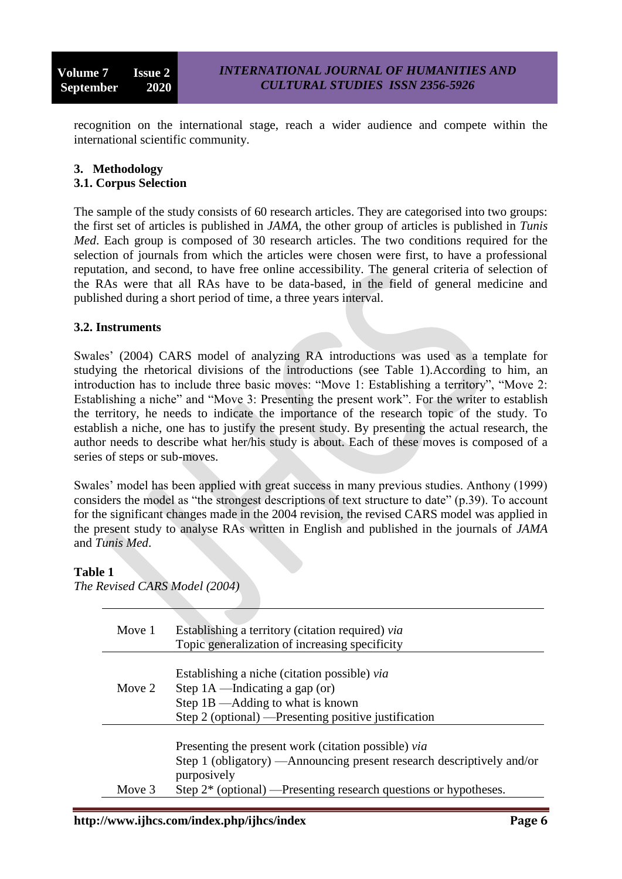recognition on the international stage, reach a wider audience and compete within the international scientific community.

#### **3. Methodology**

#### **3.1. Corpus Selection**

The sample of the study consists of 60 research articles. They are categorised into two groups: the first set of articles is published in *JAMA*, the other group of articles is published in *Tunis Med*. Each group is composed of 30 research articles. The two conditions required for the selection of journals from which the articles were chosen were first, to have a professional reputation, and second, to have free online accessibility. The general criteria of selection of the RAs were that all RAs have to be data-based, in the field of general medicine and published during a short period of time, a three years interval.

#### **3.2. Instruments**

Swales' (2004) CARS model of analyzing RA introductions was used as a template for studying the rhetorical divisions of the introductions (see Table 1).According to him, an introduction has to include three basic moves: "Move 1: Establishing a territory", "Move 2: Establishing a niche" and "Move 3: Presenting the present work". For the writer to establish the territory, he needs to indicate the importance of the research topic of the study. To establish a niche, one has to justify the present study. By presenting the actual research, the author needs to describe what her/his study is about. Each of these moves is composed of a series of steps or sub-moves.

Swales' model has been applied with great success in many previous studies. Anthony (1999) considers the model as "the strongest descriptions of text structure to date"  $(p.39)$ . To account for the significant changes made in the 2004 revision, the revised CARS model was applied in the present study to analyse RAs written in English and published in the journals of *JAMA*  and *Tunis Med*.

#### **Table 1**

*The Revised CARS Model (2004)*

| Move 1 | Establishing a territory (citation required) via<br>Topic generalization of increasing specificity                                                                                                                  |
|--------|---------------------------------------------------------------------------------------------------------------------------------------------------------------------------------------------------------------------|
| Move 2 | Establishing a niche (citation possible) via<br>Step $1A$ —Indicating a gap (or)<br>Step 1B — Adding to what is known<br>Step 2 (optional) — Presenting positive justification                                      |
| Move 3 | Presenting the present work (citation possible) via<br>Step 1 (obligatory) — Announcing present research descriptively and/or<br>purposively<br>Step $2^*$ (optional) —Presenting research questions or hypotheses. |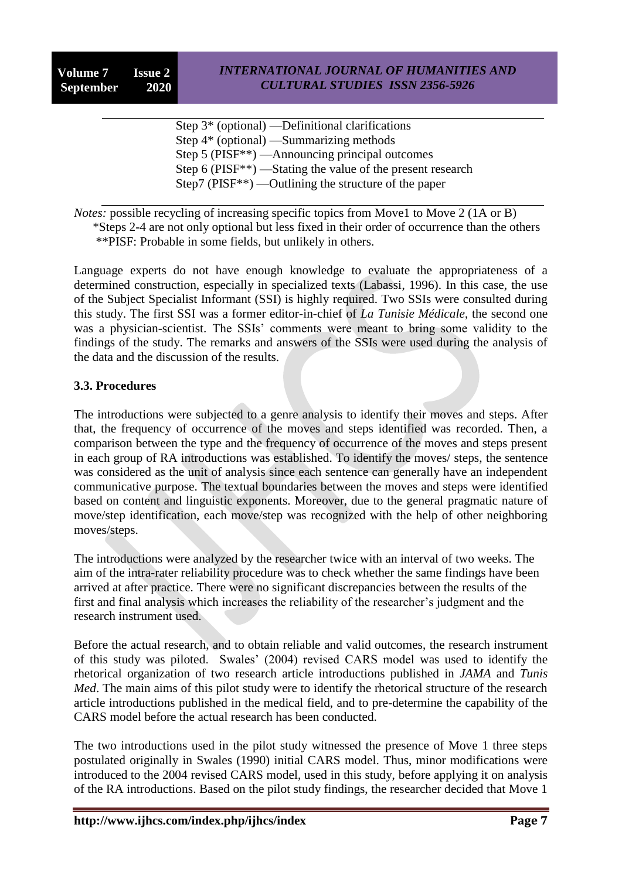Step 3\* (optional) —Definitional clarifications Step 4\* (optional) —Summarizing methods Step 5 (PISF\*\*) —Announcing principal outcomes Step 6 (PISF\*\*) —Stating the value of the present research Step7 (PISF\*\*) —Outlining the structure of the paper

*Notes:* possible recycling of increasing specific topics from Move1 to Move 2 (1A or B) \*Steps 2-4 are not only optional but less fixed in their order of occurrence than the others \*\*PISF: Probable in some fields, but unlikely in others.

Language experts do not have enough knowledge to evaluate the appropriateness of a determined construction, especially in specialized texts (Labassi, 1996). In this case, the use of the Subject Specialist Informant (SSI) is highly required. Two SSIs were consulted during this study. The first SSI was a former editor-in-chief of *La Tunisie Médicale*, the second one was a physician-scientist. The SSIs' comments were meant to bring some validity to the findings of the study. The remarks and answers of the SSIs were used during the analysis of the data and the discussion of the results.

### **3.3. Procedures**

The introductions were subjected to a genre analysis to identify their moves and steps. After that, the frequency of occurrence of the moves and steps identified was recorded. Then, a comparison between the type and the frequency of occurrence of the moves and steps present in each group of RA introductions was established. To identify the moves/ steps, the sentence was considered as the unit of analysis since each sentence can generally have an independent communicative purpose. The textual boundaries between the moves and steps were identified based on content and linguistic exponents. Moreover, due to the general pragmatic nature of move/step identification, each move/step was recognized with the help of other neighboring moves/steps.

The introductions were analyzed by the researcher twice with an interval of two weeks. The aim of the intra-rater reliability procedure was to check whether the same findings have been arrived at after practice. There were no significant discrepancies between the results of the first and final analysis which increases the reliability of the researcher's judgment and the research instrument used.

Before the actual research, and to obtain reliable and valid outcomes, the research instrument of this study was piloted. Swales' (2004) revised CARS model was used to identify the rhetorical organization of two research article introductions published in *JAMA* and *Tunis Med*. The main aims of this pilot study were to identify the rhetorical structure of the research article introductions published in the medical field, and to pre-determine the capability of the CARS model before the actual research has been conducted.

The two introductions used in the pilot study witnessed the presence of Move 1 three steps postulated originally in Swales (1990) initial CARS model. Thus, minor modifications were introduced to the 2004 revised CARS model, used in this study, before applying it on analysis of the RA introductions. Based on the pilot study findings, the researcher decided that Move 1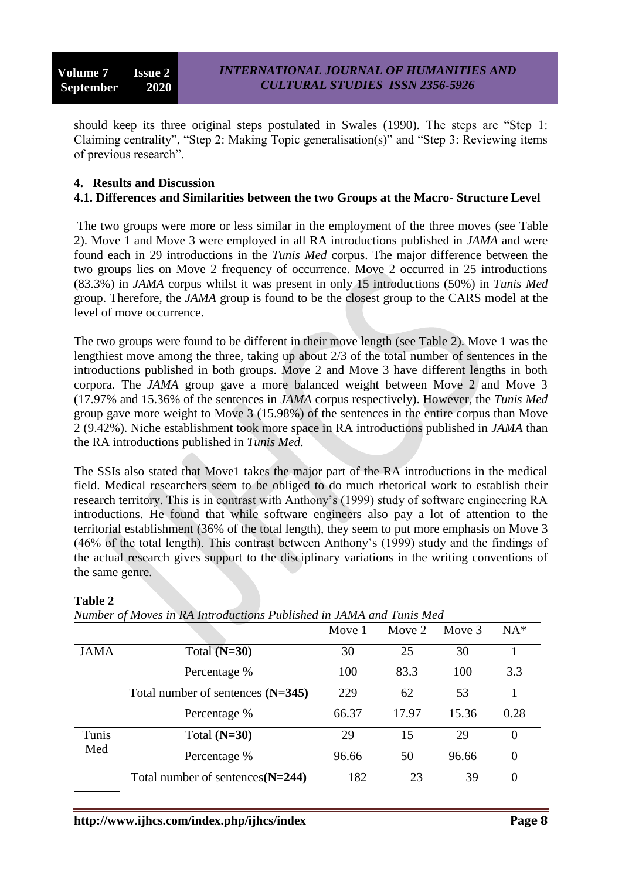should keep its three original steps postulated in Swales  $(1990)$ . The steps are "Step 1: Claiming centrality", "Step 2: Making Topic generalisation(s)" and "Step 3: Reviewing items of previous research".

#### **4. Results and Discussion 4.1. Differences and Similarities between the two Groups at the Macro- Structure Level**

The two groups were more or less similar in the employment of the three moves (see Table 2). Move 1 and Move 3 were employed in all RA introductions published in *JAMA* and were found each in 29 introductions in the *Tunis Med* corpus. The major difference between the two groups lies on Move 2 frequency of occurrence. Move 2 occurred in 25 introductions (83.3%) in *JAMA* corpus whilst it was present in only 15 introductions (50%) in *Tunis Med* group. Therefore, the *JAMA* group is found to be the closest group to the CARS model at the level of move occurrence.

The two groups were found to be different in their move length (see Table 2). Move 1 was the lengthiest move among the three, taking up about 2/3 of the total number of sentences in the introductions published in both groups. Move 2 and Move 3 have different lengths in both corpora. The *JAMA* group gave a more balanced weight between Move 2 and Move 3 (17.97% and 15.36% of the sentences in *JAMA* corpus respectively). However, the *Tunis Med* group gave more weight to Move 3 (15.98%) of the sentences in the entire corpus than Move 2 (9.42%). Niche establishment took more space in RA introductions published in *JAMA* than the RA introductions published in *Tunis Med*.

The SSIs also stated that Move1 takes the major part of the RA introductions in the medical field. Medical researchers seem to be obliged to do much rhetorical work to establish their research territory. This is in contrast with Anthony's (1999) study of software engineering RA introductions. He found that while software engineers also pay a lot of attention to the territorial establishment (36% of the total length), they seem to put more emphasis on Move 3 (46% of the total length). This contrast between Anthony's (1999) study and the findings of the actual research gives support to the disciplinary variations in the writing conventions of the same genre.

| Number of Moves in RA Introductions Published in JAMA and Tunis Med |                                     |        |        |        |          |  |  |  |
|---------------------------------------------------------------------|-------------------------------------|--------|--------|--------|----------|--|--|--|
|                                                                     |                                     | Move 1 | Move 2 | Move 3 | $NA*$    |  |  |  |
| <b>JAMA</b>                                                         | Total $(N=30)$                      | 30     | 25     | 30     |          |  |  |  |
|                                                                     | Percentage %                        | 100    | 83.3   | 100    | 3.3      |  |  |  |
|                                                                     | Total number of sentences $(N=345)$ | 229    | 62     | 53     |          |  |  |  |
|                                                                     | Percentage %                        | 66.37  | 17.97  | 15.36  | 0.28     |  |  |  |
| Tunis<br>Med                                                        | Total $(N=30)$                      | 29     | 15     | 29     | $\Omega$ |  |  |  |
|                                                                     | Percentage %                        | 96.66  | 50     | 96.66  | $\theta$ |  |  |  |
|                                                                     | Total number of sentences $(N=244)$ | 182    | 23     | 39     | $\Omega$ |  |  |  |

### **Table 2**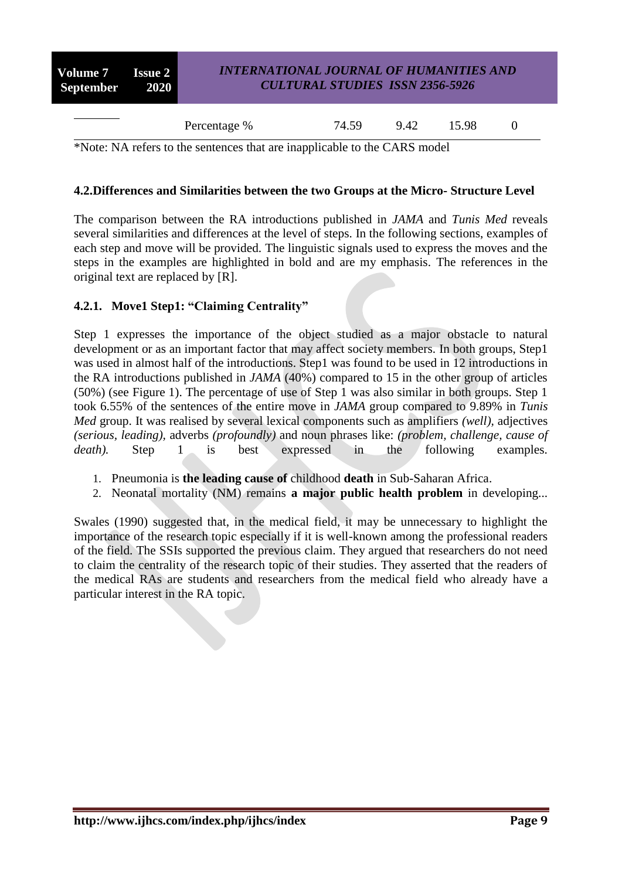| <b>Volume 7</b> Issue 2  <br>September 2020 | <b>INTERNATIONAL JOURNAL OF HUMANITIES AND</b><br><b>CULTURAL STUDIES ISSN 2356-5926</b> |       |      |       |  |  |
|---------------------------------------------|------------------------------------------------------------------------------------------|-------|------|-------|--|--|
|                                             | Percentage %                                                                             | 74.59 | 9.42 | 15.98 |  |  |

\*Note: NA refers to the sentences that are inapplicable to the CARS model

#### **4.2.Differences and Similarities between the two Groups at the Micro- Structure Level**

The comparison between the RA introductions published in *JAMA* and *Tunis Med* reveals several similarities and differences at the level of steps. In the following sections, examples of each step and move will be provided. The linguistic signals used to express the moves and the steps in the examples are highlighted in bold and are my emphasis. The references in the original text are replaced by [R].

### **4.2.1. Move1 Step1: "Claiming Centrality"**

Step 1 expresses the importance of the object studied as a major obstacle to natural development or as an important factor that may affect society members. In both groups, Step1 was used in almost half of the introductions. Step1 was found to be used in 12 introductions in the RA introductions published in *JAMA* (40%) compared to 15 in the other group of articles (50%) (see Figure 1). The percentage of use of Step 1 was also similar in both groups. Step 1 took 6.55% of the sentences of the entire move in *JAMA* group compared to 9.89% in *Tunis Med* group. It was realised by several lexical components such as amplifiers *(well),* adjectives *(serious, leading),* adverbs *(profoundly)* and noun phrases like: *(problem, challenge, cause of death*). Step 1 is best expressed in the following examples.

- 1. Pneumonia is **the leading cause of** childhood **death** in Sub-Saharan Africa.
- 2. Neonatal mortality (NM) remains **a major public health problem** in developing...

Swales (1990) suggested that, in the medical field, it may be unnecessary to highlight the importance of the research topic especially if it is well-known among the professional readers of the field. The SSIs supported the previous claim. They argued that researchers do not need to claim the centrality of the research topic of their studies. They asserted that the readers of the medical RAs are students and researchers from the medical field who already have a particular interest in the RA topic.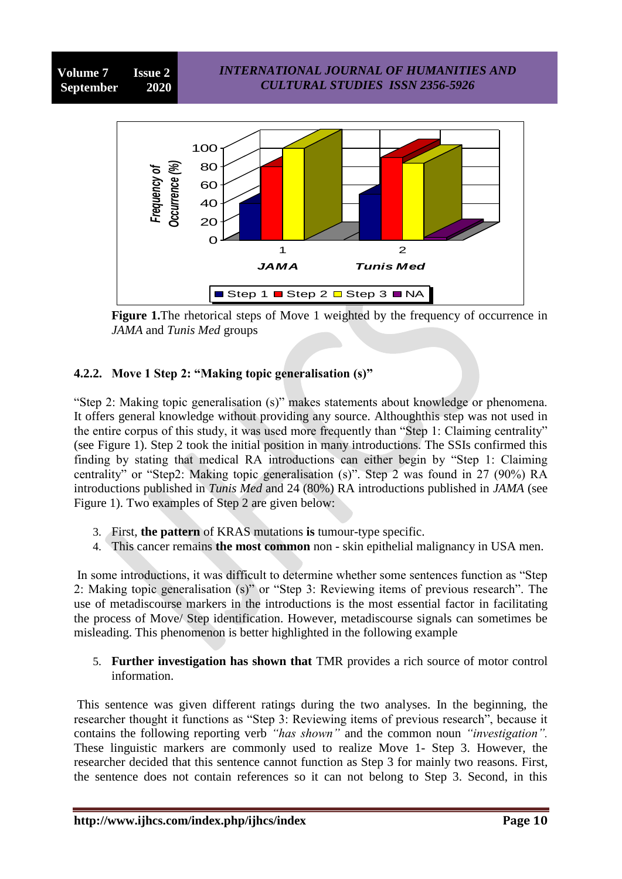

**Figure 1.**The rhetorical steps of Move 1 weighted by the frequency of occurrence in *JAMA* and *Tunis Med* groups

## **4.2.2. Move 1 Step 2: "Making topic generalisation (s)"**

"Step 2: Making topic generalisation (s)" makes statements about knowledge or phenomena. It offers general knowledge without providing any source. Althoughthis step was not used in the entire corpus of this study, it was used more frequently than "Step 1: Claiming centrality" (see Figure 1). Step 2 took the initial position in many introductions. The SSIs confirmed this finding by stating that medical RA introductions can either begin by "Step 1: Claiming centrality" or "Step2: Making topic generalisation (s)". Step 2 was found in 27 (90%) RA introductions published in *Tunis Med* and 24 (80%) RA introductions published in *JAMA* (see Figure 1). Two examples of Step 2 are given below:

- 3. First, **the pattern** of KRAS mutations **is** tumour-type specific.
- 4. This cancer remains **the most common** non skin epithelial malignancy in USA men.

In some introductions, it was difficult to determine whether some sentences function as "Step 2: Making topic generalisation  $(s)$ " or "Step 3: Reviewing items of previous research". The use of metadiscourse markers in the introductions is the most essential factor in facilitating the process of Move/ Step identification. However, metadiscourse signals can sometimes be misleading. This phenomenon is better highlighted in the following example

5. **Further investigation has shown that** TMR provides a rich source of motor control information.

This sentence was given different ratings during the two analyses. In the beginning, the researcher thought it functions as "Step 3: Reviewing items of previous research", because it contains the following reporting verb *"has shown"* and the common noun *"investigation".* These linguistic markers are commonly used to realize Move 1- Step 3. However, the researcher decided that this sentence cannot function as Step 3 for mainly two reasons. First, the sentence does not contain references so it can not belong to Step 3. Second, in this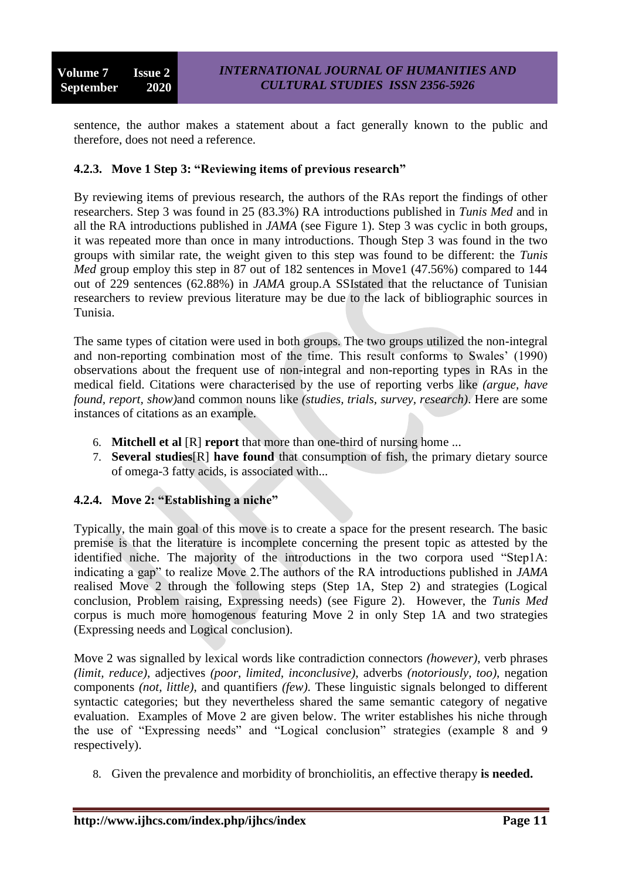sentence, the author makes a statement about a fact generally known to the public and therefore, does not need a reference.

### **4.2.3. Move 1 Step 3: "Reviewing items of previous research"**

By reviewing items of previous research, the authors of the RAs report the findings of other researchers. Step 3 was found in 25 (83.3%) RA introductions published in *Tunis Med* and in all the RA introductions published in *JAMA* (see Figure 1). Step 3 was cyclic in both groups, it was repeated more than once in many introductions. Though Step 3 was found in the two groups with similar rate, the weight given to this step was found to be different: the *Tunis Med* group employ this step in 87 out of 182 sentences in Move1 (47.56%) compared to 144 out of 229 sentences (62.88%) in *JAMA* group.A SSIstated that the reluctance of Tunisian researchers to review previous literature may be due to the lack of bibliographic sources in Tunisia.

The same types of citation were used in both groups. The two groups utilized the non-integral and non-reporting combination most of the time. This result conforms to Swales' (1990) observations about the frequent use of non-integral and non-reporting types in RAs in the medical field. Citations were characterised by the use of reporting verbs like *(argue, have found, report, show)*and common nouns like *(studies, trials, survey, research)*. Here are some instances of citations as an example.

- 6. **Mitchell et al** [R] **report** that more than one-third of nursing home ...
- 7. **Several studies**[R] **have found** that consumption of fish, the primary dietary source of omega-3 fatty acids, is associated with...

### **4.2.4. Move 2: "Establishing a niche"**

Typically, the main goal of this move is to create a space for the present research. The basic premise is that the literature is incomplete concerning the present topic as attested by the identified niche. The majority of the introductions in the two corpora used "Step1A: indicating a gap" to realize Move 2. The authors of the RA introductions published in *JAMA* realised Move 2 through the following steps (Step 1A, Step 2) and strategies (Logical conclusion, Problem raising, Expressing needs) (see Figure 2). However, the *Tunis Med* corpus is much more homogenous featuring Move 2 in only Step 1A and two strategies (Expressing needs and Logical conclusion).

Move 2 was signalled by lexical words like contradiction connectors *(however)*, verb phrases *(limit, reduce)*, adjectives *(poor, limited, inconclusive)*, adverbs *(notoriously, too)*, negation components *(not, little)*, and quantifiers *(few)*. These linguistic signals belonged to different syntactic categories; but they nevertheless shared the same semantic category of negative evaluation. Examples of Move 2 are given below. The writer establishes his niche through the use of "Expressing needs" and "Logical conclusion" strategies (example 8 and 9 respectively).

8. Given the prevalence and morbidity of bronchiolitis, an effective therapy **is needed.**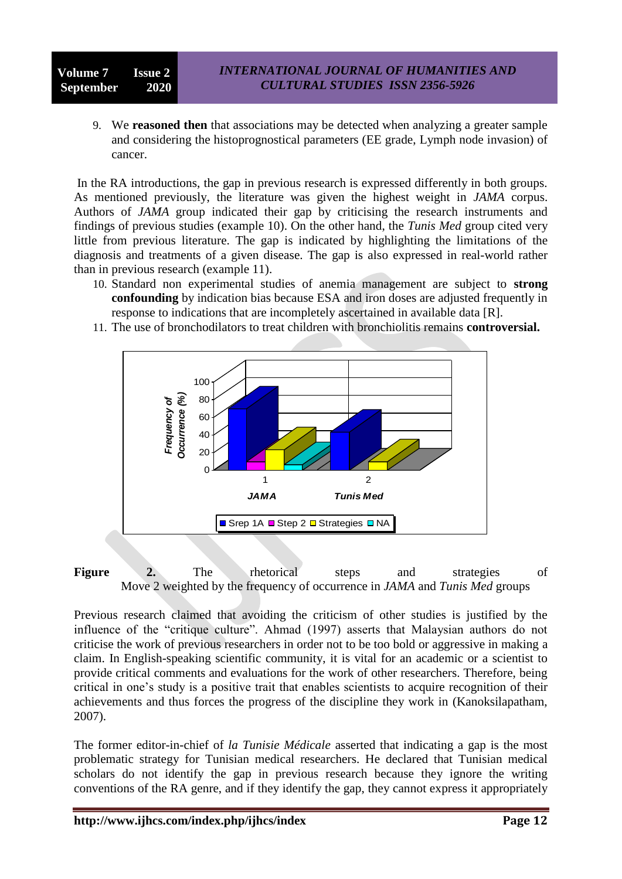### **Volume 7 Issue 2 September 2020**

9. We **reasoned then** that associations may be detected when analyzing a greater sample and considering the histoprognostical parameters (EE grade, Lymph node invasion) of cancer.

In the RA introductions, the gap in previous research is expressed differently in both groups. As mentioned previously, the literature was given the highest weight in *JAMA* corpus. Authors of *JAMA* group indicated their gap by criticising the research instruments and findings of previous studies (example 10). On the other hand, the *Tunis Med* group cited very little from previous literature. The gap is indicated by highlighting the limitations of the diagnosis and treatments of a given disease. The gap is also expressed in real-world rather than in previous research (example 11).

- 10. Standard non experimental studies of anemia management are subject to **strong confounding** by indication bias because ESA and iron doses are adjusted frequently in response to indications that are incompletely ascertained in available data [R].
- 11. The use of bronchodilators to treat children with bronchiolitis remains **controversial.**



Figure 2. The rhetorical steps and strategies of Move 2 weighted by the frequency of occurrence in *JAMA* and *Tunis Med* groups

Previous research claimed that avoiding the criticism of other studies is justified by the influence of the "critique culture". Ahmad (1997) asserts that Malaysian authors do not criticise the work of previous researchers in order not to be too bold or aggressive in making a claim. In English-speaking scientific community, it is vital for an academic or a scientist to provide critical comments and evaluations for the work of other researchers. Therefore, being critical in one's study is a positive trait that enables scientists to acquire recognition of their achievements and thus forces the progress of the discipline they work in (Kanoksilapatham, 2007).

The former editor-in-chief of *la Tunisie Médicale* asserted that indicating a gap is the most problematic strategy for Tunisian medical researchers. He declared that Tunisian medical scholars do not identify the gap in previous research because they ignore the writing conventions of the RA genre, and if they identify the gap, they cannot express it appropriately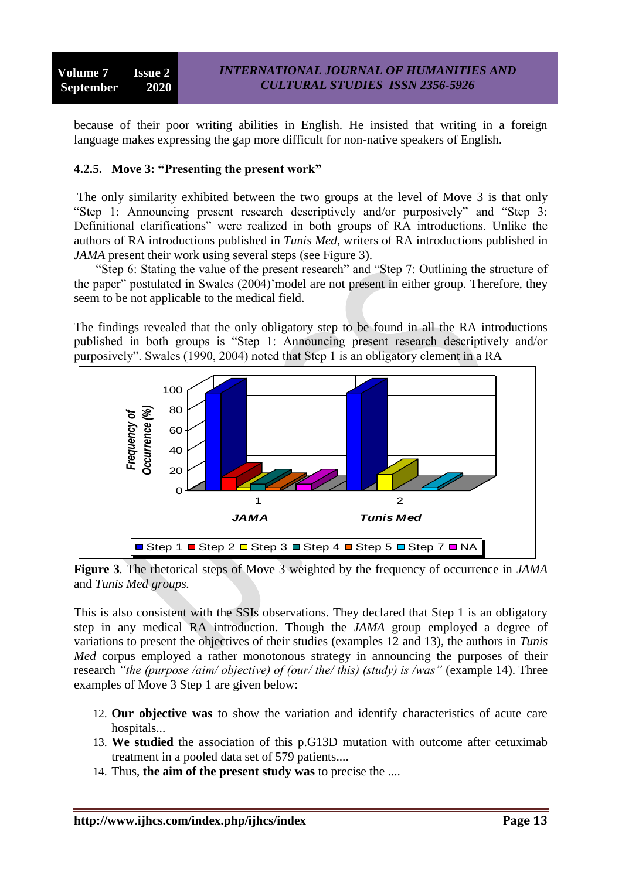because of their poor writing abilities in English. He insisted that writing in a foreign language makes expressing the gap more difficult for non-native speakers of English.

### **4.2.5. Move 3: "Presenting the present work"**

The only similarity exhibited between the two groups at the level of Move 3 is that only "Step 1: Announcing present research descriptively and/or purposively" and "Step 3: Definitional clarifications" were realized in both groups of RA introductions. Unlike the authors of RA introductions published in *Tunis Med*, writers of RA introductions published in *JAMA* present their work using several steps (see Figure 3).

"Step 6: Stating the value of the present research" and "Step 7: Outlining the structure of the paper" postulated in Swales (2004)'model are not present in either group. Therefore, they seem to be not applicable to the medical field.

The findings revealed that the only obligatory step to be found in all the RA introductions published in both groups is "Step 1: Announcing present research descriptively and/or purposively‖. Swales (1990, 2004) noted that Step 1 is an obligatory element in a RA



**Figure 3***.* The rhetorical steps of Move 3 weighted by the frequency of occurrence in *JAMA*  and *Tunis Med groups.*

This is also consistent with the SSIs observations. They declared that Step 1 is an obligatory step in any medical RA introduction. Though the *JAMA* group employed a degree of variations to present the objectives of their studies (examples 12 and 13), the authors in *Tunis Med* corpus employed a rather monotonous strategy in announcing the purposes of their research *"the (purpose /aim/ objective) of (our/ the/ this) (study) is /was"* (example 14). Three examples of Move 3 Step 1 are given below:

- 12. **Our objective was** to show the variation and identify characteristics of acute care hospitals...
- 13. **We studied** the association of this p.G13D mutation with outcome after cetuximab treatment in a pooled data set of 579 patients....
- 14. Thus, **the aim of the present study was** to precise the ....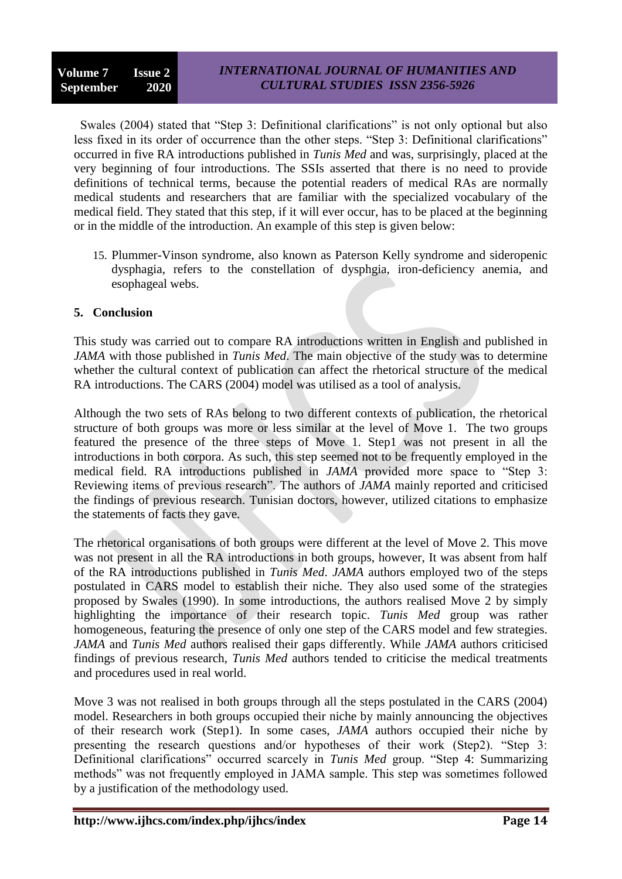Swales (2004) stated that "Step 3: Definitional clarifications" is not only optional but also less fixed in its order of occurrence than the other steps. "Step 3: Definitional clarifications" occurred in five RA introductions published in *Tunis Med* and was, surprisingly, placed at the very beginning of four introductions. The SSIs asserted that there is no need to provide definitions of technical terms, because the potential readers of medical RAs are normally medical students and researchers that are familiar with the specialized vocabulary of the medical field. They stated that this step, if it will ever occur, has to be placed at the beginning or in the middle of the introduction. An example of this step is given below:

15. Plummer-Vinson syndrome, also known as Paterson Kelly syndrome and sideropenic dysphagia, refers to the constellation of dysphgia, iron-deficiency anemia, and esophageal webs.

### **5. Conclusion**

This study was carried out to compare RA introductions written in English and published in *JAMA* with those published in *Tunis Med*. The main objective of the study was to determine whether the cultural context of publication can affect the rhetorical structure of the medical RA introductions. The CARS (2004) model was utilised as a tool of analysis.

Although the two sets of RAs belong to two different contexts of publication, the rhetorical structure of both groups was more or less similar at the level of Move 1. The two groups featured the presence of the three steps of Move 1. Step1 was not present in all the introductions in both corpora. As such, this step seemed not to be frequently employed in the medical field. RA introductions published in *JAMA* provided more space to "Step 3: Reviewing items of previous research<sup>"</sup>. The authors of *JAMA* mainly reported and criticised the findings of previous research. Tunisian doctors, however, utilized citations to emphasize the statements of facts they gave.

The rhetorical organisations of both groups were different at the level of Move 2. This move was not present in all the RA introductions in both groups, however, It was absent from half of the RA introductions published in *Tunis Med*. *JAMA* authors employed two of the steps postulated in CARS model to establish their niche. They also used some of the strategies proposed by Swales (1990). In some introductions, the authors realised Move 2 by simply highlighting the importance of their research topic. *Tunis Med* group was rather homogeneous, featuring the presence of only one step of the CARS model and few strategies. *JAMA* and *Tunis Med* authors realised their gaps differently. While *JAMA* authors criticised findings of previous research, *Tunis Med* authors tended to criticise the medical treatments and procedures used in real world.

Move 3 was not realised in both groups through all the steps postulated in the CARS (2004) model. Researchers in both groups occupied their niche by mainly announcing the objectives of their research work (Step1). In some cases, *JAMA* authors occupied their niche by presenting the research questions and/or hypotheses of their work (Step2). "Step  $3$ : Definitional clarifications" occurred scarcely in *Tunis Med* group. "Step 4: Summarizing methods" was not frequently employed in JAMA sample. This step was sometimes followed by a justification of the methodology used.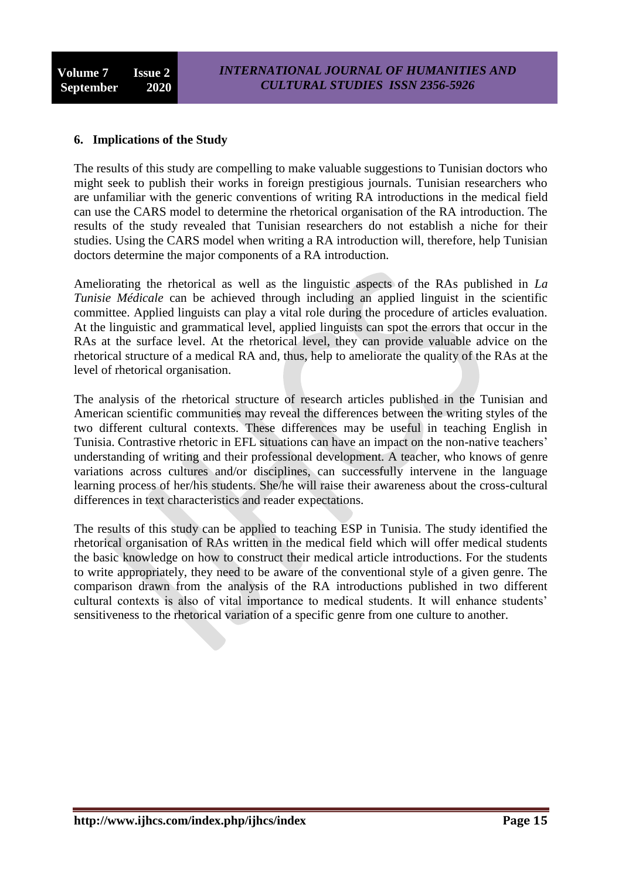### **6. Implications of the Study**

The results of this study are compelling to make valuable suggestions to Tunisian doctors who might seek to publish their works in foreign prestigious journals. Tunisian researchers who are unfamiliar with the generic conventions of writing RA introductions in the medical field can use the CARS model to determine the rhetorical organisation of the RA introduction. The results of the study revealed that Tunisian researchers do not establish a niche for their studies. Using the CARS model when writing a RA introduction will, therefore, help Tunisian doctors determine the major components of a RA introduction.

Ameliorating the rhetorical as well as the linguistic aspects of the RAs published in *La Tunisie Médicale* can be achieved through including an applied linguist in the scientific committee. Applied linguists can play a vital role during the procedure of articles evaluation. At the linguistic and grammatical level, applied linguists can spot the errors that occur in the RAs at the surface level. At the rhetorical level, they can provide valuable advice on the rhetorical structure of a medical RA and, thus, help to ameliorate the quality of the RAs at the level of rhetorical organisation.

The analysis of the rhetorical structure of research articles published in the Tunisian and American scientific communities may reveal the differences between the writing styles of the two different cultural contexts. These differences may be useful in teaching English in Tunisia. Contrastive rhetoric in EFL situations can have an impact on the non-native teachers' understanding of writing and their professional development. A teacher, who knows of genre variations across cultures and/or disciplines, can successfully intervene in the language learning process of her/his students. She/he will raise their awareness about the cross-cultural differences in text characteristics and reader expectations.

The results of this study can be applied to teaching ESP in Tunisia. The study identified the rhetorical organisation of RAs written in the medical field which will offer medical students the basic knowledge on how to construct their medical article introductions. For the students to write appropriately, they need to be aware of the conventional style of a given genre. The comparison drawn from the analysis of the RA introductions published in two different cultural contexts is also of vital importance to medical students. It will enhance students' sensitiveness to the rhetorical variation of a specific genre from one culture to another.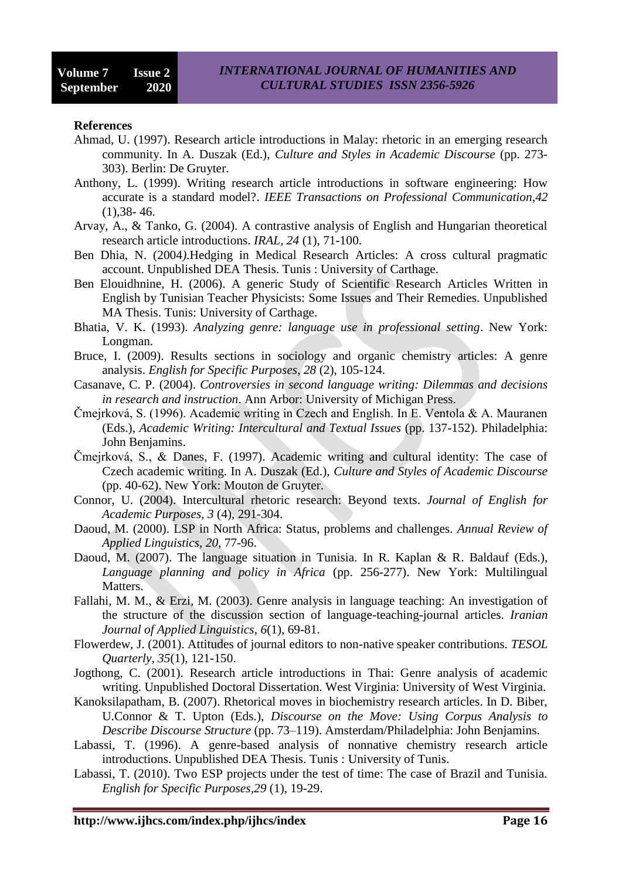#### **References**

- Ahmad, U. (1997). Research article introductions in Malay: rhetoric in an emerging research community. In A. Duszak (Ed.), *Culture and Styles in Academic Discourse* (pp. 273- 303). Berlin: De Gruyter.
- Anthony, L. (1999). Writing research article introductions in software engineering: How accurate is a standard model?. *IEEE Transactions on Professional Communication*,*42*   $(1)$ , 38 - 46.
- Arvay, A., & Tanko, G. (2004). A contrastive analysis of English and Hungarian theoretical research article introductions. *IRAL, 24* (1), 71-100.
- Ben Dhia, N. (2004*)*.Hedging in Medical Research Articles: A cross cultural pragmatic account. Unpublished DEA Thesis. Tunis : University of Carthage.
- Ben Elouidhnine, H. (2006). A generic Study of Scientific Research Articles Written in English by Tunisian Teacher Physicists: Some Issues and Their Remedies. Unpublished MA Thesis. Tunis: University of Carthage.
- Bhatia, V. K. (1993). *Analyzing genre: language use in professional setting*. New York: Longman.
- Bruce, I. (2009). Results sections in sociology and organic chemistry articles: A genre analysis. *English for Specific Purposes, 28* (2), 105-124.
- Casanave, C. P. (2004). *Controversies in second language writing: Dilemmas and decisions in research and instruction*. Ann Arbor: University of Michigan Press.
- Čmejrková, S. (1996). Academic writing in Czech and English. In E. Ventola & A. Mauranen (Eds.), *Academic Writing: Intercultural and Textual Issues* (pp. 137-152). Philadelphia: John Benjamins.
- Čmejrková, S., & Danes, F. (1997). Academic writing and cultural identity: The case of Czech academic writing. In A. Duszak (Ed.), *Culture and Styles of Academic Discourse* (pp. 40-62). New York: Mouton de Gruyter.
- Connor, U. (2004). Intercultural rhetoric research: Beyond texts. *Journal of English for Academic Purposes, 3* (4), 291-304.
- Daoud, M. (2000). LSP in North Africa: Status, problems and challenges. *Annual Review of Applied Linguistics*, *20*, 77-96.
- Daoud, M. (2007). The language situation in Tunisia. In R. Kaplan & R. Baldauf (Eds.), *Language planning and policy in Africa* (pp. 256-277). New York: Multilingual Matters.
- Fallahi, M. M., & Erzi, M. (2003). Genre analysis in language teaching: An investigation of the structure of the discussion section of language-teaching-journal articles. *Iranian Journal of Applied Linguistics*, *6*(1), 69-81.
- Flowerdew, J. (2001). Attitudes of journal editors to non-native speaker contributions. *TESOL Quarterly, 35*(1), 121-150.
- Jogthong, C. (2001). Research article introductions in Thai: Genre analysis of academic writing. Unpublished Doctoral Dissertation. West Virginia: University of West Virginia.
- Kanoksilapatham, B. (2007). Rhetorical moves in biochemistry research articles. In D. Biber, U.Connor & T. Upton (Eds.), *Discourse on the Move: Using Corpus Analysis to Describe Discourse Structure* (pp. 73–119). Amsterdam/Philadelphia: John Benjamins.
- Labassi, T. (1996). A genre-based analysis of nonnative chemistry research article introductions. Unpublished DEA Thesis. Tunis : University of Tunis.
- Labassi, T. (2010). Two ESP projects under the test of time: The case of Brazil and Tunisia. *English for Specific Purposes,29* (1), 19-29.